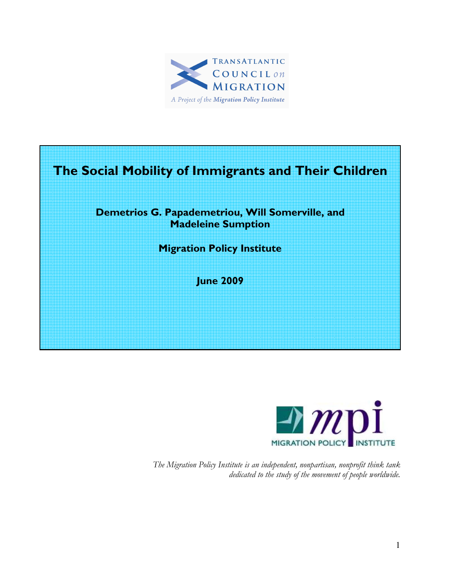

# The Social Mobility of Immigrants and Their Children

### Demetrios G. Papademetriou, Will Somerville, and Madeleine Sumption

Migration Policy Institute

June 2009



The Migration Policy Institute is an independent, nonpartisan, nonprofit think tank dedicated to the study of the movement of people worldwide.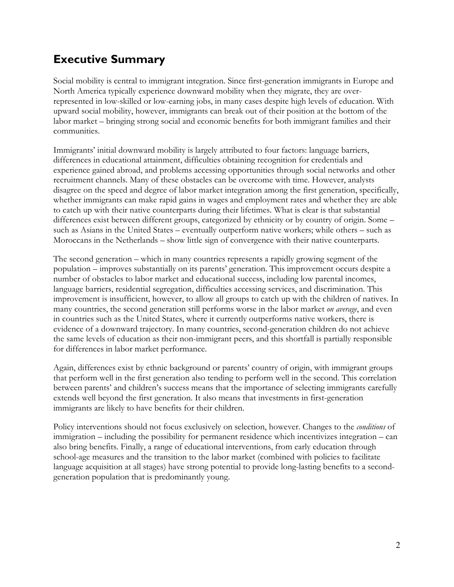# Executive Summary

Social mobility is central to immigrant integration. Since first-generation immigrants in Europe and North America typically experience downward mobility when they migrate, they are overrepresented in low-skilled or low-earning jobs, in many cases despite high levels of education. With upward social mobility, however, immigrants can break out of their position at the bottom of the labor market – bringing strong social and economic benefits for both immigrant families and their communities.

Immigrants' initial downward mobility is largely attributed to four factors: language barriers, differences in educational attainment, difficulties obtaining recognition for credentials and experience gained abroad, and problems accessing opportunities through social networks and other recruitment channels. Many of these obstacles can be overcome with time. However, analysts disagree on the speed and degree of labor market integration among the first generation, specifically, whether immigrants can make rapid gains in wages and employment rates and whether they are able to catch up with their native counterparts during their lifetimes. What is clear is that substantial differences exist between different groups, categorized by ethnicity or by country of origin. Some – such as Asians in the United States – eventually outperform native workers; while others – such as Moroccans in the Netherlands – show little sign of convergence with their native counterparts.

The second generation – which in many countries represents a rapidly growing segment of the population – improves substantially on its parents' generation. This improvement occurs despite a number of obstacles to labor market and educational success, including low parental incomes, language barriers, residential segregation, difficulties accessing services, and discrimination. This improvement is insufficient, however, to allow all groups to catch up with the children of natives. In many countries, the second generation still performs worse in the labor market *on average*, and even in countries such as the United States, where it currently outperforms native workers, there is evidence of a downward trajectory. In many countries, second-generation children do not achieve the same levels of education as their non-immigrant peers, and this shortfall is partially responsible for differences in labor market performance.

Again, differences exist by ethnic background or parents' country of origin, with immigrant groups that perform well in the first generation also tending to perform well in the second. This correlation between parents' and children's success means that the importance of selecting immigrants carefully extends well beyond the first generation. It also means that investments in first-generation immigrants are likely to have benefits for their children.

Policy interventions should not focus exclusively on selection, however. Changes to the *conditions* of immigration – including the possibility for permanent residence which incentivizes integration – can also bring benefits. Finally, a range of educational interventions, from early education through school-age measures and the transition to the labor market (combined with policies to facilitate language acquisition at all stages) have strong potential to provide long-lasting benefits to a secondgeneration population that is predominantly young.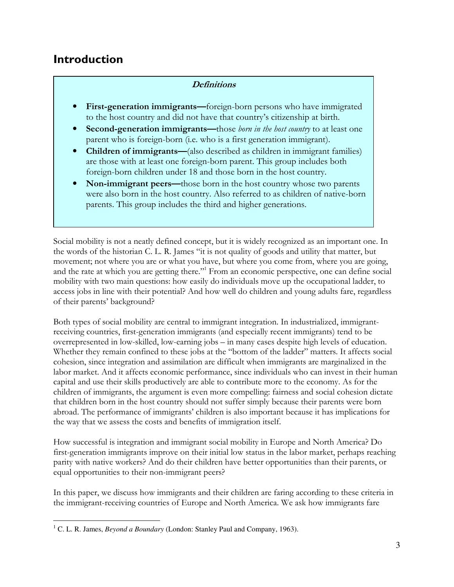## Introduction

#### **Definitions**

- First-generation immigrants—foreign-born persons who have immigrated to the host country and did not have that country's citizenship at birth.
- **Second-generation immigrants—those** *born in the host country* **to at least one** parent who is foreign-born (i.e. who is a first generation immigrant).
- Children of immigrants—(also described as children in immigrant families) are those with at least one foreign-born parent. This group includes both foreign-born children under 18 and those born in the host country.
- Non-immigrant peers—those born in the host country whose two parents were also born in the host country. Also referred to as children of native-born parents. This group includes the third and higher generations.

Social mobility is not a neatly defined concept, but it is widely recognized as an important one. In the words of the historian C. L. R. James "it is not quality of goods and utility that matter, but movement; not where you are or what you have, but where you come from, where you are going, and the rate at which you are getting there."<sup>1</sup> From an economic perspective, one can define social mobility with two main questions: how easily do individuals move up the occupational ladder, to access jobs in line with their potential? And how well do children and young adults fare, regardless of their parents' background?

Both types of social mobility are central to immigrant integration. In industrialized, immigrantreceiving countries, first-generation immigrants (and especially recent immigrants) tend to be overrepresented in low-skilled, low-earning jobs – in many cases despite high levels of education. Whether they remain confined to these jobs at the "bottom of the ladder" matters. It affects social cohesion, since integration and assimilation are difficult when immigrants are marginalized in the labor market. And it affects economic performance, since individuals who can invest in their human capital and use their skills productively are able to contribute more to the economy. As for the children of immigrants, the argument is even more compelling: fairness and social cohesion dictate that children born in the host country should not suffer simply because their parents were born abroad. The performance of immigrants' children is also important because it has implications for the way that we assess the costs and benefits of immigration itself.

How successful is integration and immigrant social mobility in Europe and North America? Do first-generation immigrants improve on their initial low status in the labor market, perhaps reaching parity with native workers? And do their children have better opportunities than their parents, or equal opportunities to their non-immigrant peers?

In this paper, we discuss how immigrants and their children are faring according to these criteria in the immigrant-receiving countries of Europe and North America. We ask how immigrants fare

 $\overline{a}$ <sup>1</sup> C. L. R. James, *Beyond a Boundary* (London: Stanley Paul and Company, 1963).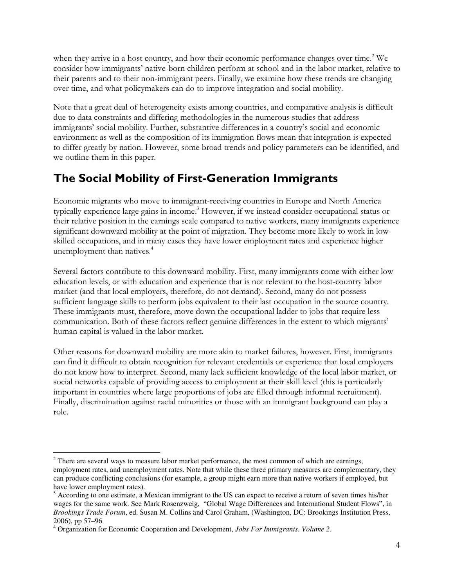when they arrive in a host country, and how their economic performance changes over time.<sup>2</sup> We consider how immigrants' native-born children perform at school and in the labor market, relative to their parents and to their non-immigrant peers. Finally, we examine how these trends are changing over time, and what policymakers can do to improve integration and social mobility.

Note that a great deal of heterogeneity exists among countries, and comparative analysis is difficult due to data constraints and differing methodologies in the numerous studies that address immigrants' social mobility. Further, substantive differences in a country's social and economic environment as well as the composition of its immigration flows mean that integration is expected to differ greatly by nation. However, some broad trends and policy parameters can be identified, and we outline them in this paper.

# The Social Mobility of First-Generation Immigrants

Economic migrants who move to immigrant-receiving countries in Europe and North America typically experience large gains in income.<sup>3</sup> However, if we instead consider occupational status or their relative position in the earnings scale compared to native workers, many immigrants experience significant downward mobility at the point of migration. They become more likely to work in lowskilled occupations, and in many cases they have lower employment rates and experience higher unemployment than natives.<sup>4</sup>

Several factors contribute to this downward mobility. First, many immigrants come with either low education levels, or with education and experience that is not relevant to the host-country labor market (and that local employers, therefore, do not demand). Second, many do not possess sufficient language skills to perform jobs equivalent to their last occupation in the source country. These immigrants must, therefore, move down the occupational ladder to jobs that require less communication. Both of these factors reflect genuine differences in the extent to which migrants' human capital is valued in the labor market.

Other reasons for downward mobility are more akin to market failures, however. First, immigrants can find it difficult to obtain recognition for relevant credentials or experience that local employers do not know how to interpret. Second, many lack sufficient knowledge of the local labor market, or social networks capable of providing access to employment at their skill level (this is particularly important in countries where large proportions of jobs are filled through informal recruitment). Finally, discrimination against racial minorities or those with an immigrant background can play a role.

 $\overline{a}$  $2$  There are several ways to measure labor market performance, the most common of which are earnings, employment rates, and unemployment rates. Note that while these three primary measures are complementary, they can produce conflicting conclusions (for example, a group might earn more than native workers if employed, but have lower employment rates).

 $3$  According to one estimate, a Mexican immigrant to the US can expect to receive a return of seven times his/her wages for the same work. See Mark Rosenzweig, "Global Wage Differences and International Student Flows", in *Brookings Trade Forum*, ed. Susan M. Collins and Carol Graham, (Washington, DC: Brookings Institution Press, 2006), pp 57–96.

<sup>4</sup> Organization for Economic Cooperation and Development, *Jobs For Immigrants. Volume 2*.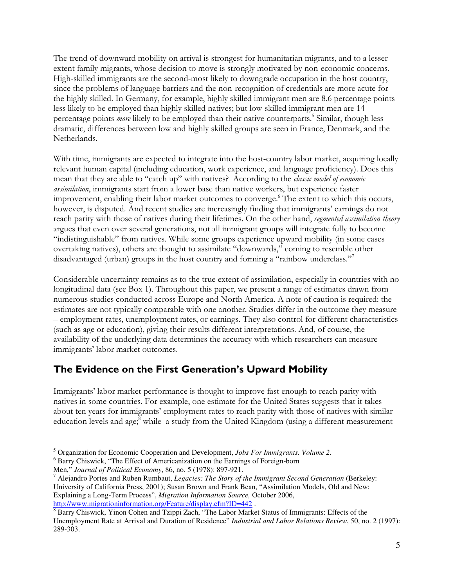The trend of downward mobility on arrival is strongest for humanitarian migrants, and to a lesser extent family migrants, whose decision to move is strongly motivated by non-economic concerns. High-skilled immigrants are the second-most likely to downgrade occupation in the host country, since the problems of language barriers and the non-recognition of credentials are more acute for the highly skilled. In Germany, for example, highly skilled immigrant men are 8.6 percentage points less likely to be employed than highly skilled natives; but low-skilled immigrant men are 14 percentage points *more* likely to be employed than their native counterparts.<sup>5</sup> Similar, though less dramatic, differences between low and highly skilled groups are seen in France, Denmark, and the Netherlands.

With time, immigrants are expected to integrate into the host-country labor market, acquiring locally relevant human capital (including education, work experience, and language proficiency). Does this mean that they are able to "catch up" with natives? According to the classic model of economic assimilation, immigrants start from a lower base than native workers, but experience faster improvement, enabling their labor market outcomes to converge.<sup>6</sup> The extent to which this occurs, however, is disputed. And recent studies are increasingly finding that immigrants' earnings do not reach parity with those of natives during their lifetimes. On the other hand, segmented assimilation theory argues that even over several generations, not all immigrant groups will integrate fully to become "indistinguishable" from natives. While some groups experience upward mobility (in some cases overtaking natives), others are thought to assimilate "downwards," coming to resemble other disadvantaged (urban) groups in the host country and forming a "rainbow underclass."<sup>7</sup>

Considerable uncertainty remains as to the true extent of assimilation, especially in countries with no longitudinal data (see Box 1). Throughout this paper, we present a range of estimates drawn from numerous studies conducted across Europe and North America. A note of caution is required: the estimates are not typically comparable with one another. Studies differ in the outcome they measure – employment rates, unemployment rates, or earnings. They also control for different characteristics (such as age or education), giving their results different interpretations. And, of course, the availability of the underlying data determines the accuracy with which researchers can measure immigrants' labor market outcomes.

## The Evidence on the First Generation's Upward Mobility

Immigrants' labor market performance is thought to improve fast enough to reach parity with natives in some countries. For example, one estimate for the United States suggests that it takes about ten years for immigrants' employment rates to reach parity with those of natives with similar education levels and age;<sup>8</sup> while a study from the United Kingdom (using a different measurement

 $\overline{a}$ 5 Organization for Economic Cooperation and Development, *Jobs For Immigrants. Volume 2.* 

<sup>&</sup>lt;sup>6</sup> Barry Chiswick, "The Effect of Americanization on the Earnings of Foreign-born

Men," *Journal of Political Economy*, 86, no. 5 (1978): 897-921.

<sup>7</sup> Alejandro Portes and Ruben Rumbaut, *Legacies: The Story of the Immigrant Second Generation* (Berkeley: University of California Press, 2001); Susan Brown and Frank Bean, "Assimilation Models, Old and New: Explaining a Long-Term Process", *Migration Information Source,* October 2006, http://www.migrationinformation.org/Feature/display.cfm?ID=442 .

<sup>&</sup>lt;sup>8</sup> Barry Chiswick, Yinon Cohen and Tzippi Zach, "The Labor Market Status of Immigrants: Effects of the Unemployment Rate at Arrival and Duration of Residence" *Industrial and Labor Relations Review*, 50, no. 2 (1997): 289-303.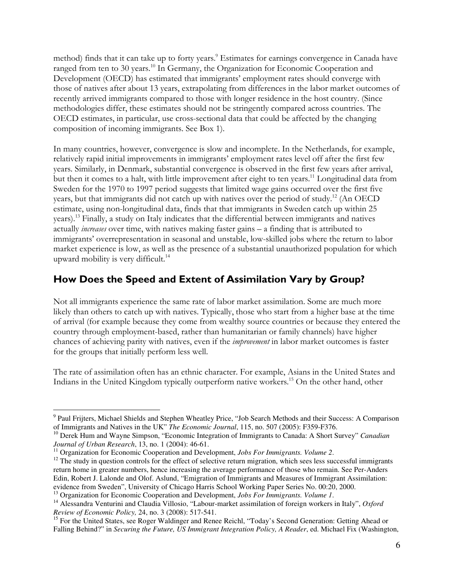method) finds that it can take up to forty years.<sup>9</sup> Estimates for earnings convergence in Canada have ranged from ten to 30 years.<sup>10</sup> In Germany, the Organization for Economic Cooperation and Development (OECD) has estimated that immigrants' employment rates should converge with those of natives after about 13 years, extrapolating from differences in the labor market outcomes of recently arrived immigrants compared to those with longer residence in the host country. (Since methodologies differ, these estimates should not be stringently compared across countries. The OECD estimates, in particular, use cross-sectional data that could be affected by the changing composition of incoming immigrants. See Box 1).

In many countries, however, convergence is slow and incomplete. In the Netherlands, for example, relatively rapid initial improvements in immigrants' employment rates level off after the first few years. Similarly, in Denmark, substantial convergence is observed in the first few years after arrival, but then it comes to a halt, with little improvement after eight to ten years.<sup>11</sup> Longitudinal data from Sweden for the 1970 to 1997 period suggests that limited wage gains occurred over the first five years, but that immigrants did not catch up with natives over the period of study.<sup>12</sup> (An OECD) estimate, using non-longitudinal data, finds that that immigrants in Sweden catch up within 25 years).<sup>13</sup> Finally, a study on Italy indicates that the differential between immigrants and natives actually increases over time, with natives making faster gains – a finding that is attributed to immigrants' overrepresentation in seasonal and unstable, low-skilled jobs where the return to labor market experience is low, as well as the presence of a substantial unauthorized population for which upward mobility is very difficult.<sup>14</sup>

## How Does the Speed and Extent of Assimilation Vary by Group?

Not all immigrants experience the same rate of labor market assimilation. Some are much more likely than others to catch up with natives. Typically, those who start from a higher base at the time of arrival (for example because they come from wealthy source countries or because they entered the country through employment-based, rather than humanitarian or family channels) have higher chances of achieving parity with natives, even if the improvement in labor market outcomes is faster for the groups that initially perform less well.

The rate of assimilation often has an ethnic character. For example, Asians in the United States and Indians in the United Kingdom typically outperform native workers.<sup>15</sup> On the other hand, other

<sup>&</sup>lt;sup>9</sup> Paul Frijters, Michael Shields and Stephen Wheatley Price, "Job Search Methods and their Success: A Comparison of Immigrants and Natives in the UK" *The Economic Journal*, 115, no. 507 (2005): F359-F376.

<sup>10</sup> Derek Hum and Wayne Simpson, "Economic Integration of Immigrants to Canada: A Short Survey" *Canadian Journal of Urban Research*, 13, no. 1 (2004): 46-61.

<sup>&</sup>lt;sup>11</sup> Organization for Economic Cooperation and Development, *Jobs For Immigrants. Volume* 2.

 $12$  The study in question controls for the effect of selective return migration, which sees less successful immigrants return home in greater numbers, hence increasing the average performance of those who remain. See Per-Anders Edin, Robert J. Lalonde and Olof. Aslund, "Emigration of Immigrants and Measures of Immigrant Assimilation: evidence from Sweden", University of Chicago Harris School Working Paper Series No. 00:20, 2000.

<sup>13</sup> Organization for Economic Cooperation and Development, *Jobs For Immigrants. Volume 1*.

<sup>14</sup> Alessandra Venturini and Claudia Villosio, "Labour-market assimilation of foreign workers in Italy", *Oxford Review of Economic Policy,* 24, no. 3 (2008): 517-541.

<sup>&</sup>lt;sup>15</sup> For the United States, see Roger Waldinger and Renee Reichl, "Today's Second Generation: Getting Ahead or Falling Behind?" in *Securing the Future, US Immigrant Integration Policy, A Reader*, ed. Michael Fix (Washington,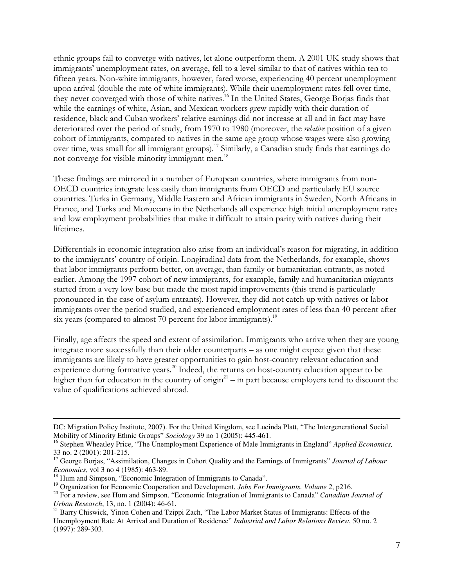ethnic groups fail to converge with natives, let alone outperform them. A 2001 UK study shows that immigrants' unemployment rates, on average, fell to a level similar to that of natives within ten to fifteen years. Non-white immigrants, however, fared worse, experiencing 40 percent unemployment upon arrival (double the rate of white immigrants). While their unemployment rates fell over time, they never converged with those of white natives.<sup>16</sup> In the United States, George Borjas finds that while the earnings of white, Asian, and Mexican workers grew rapidly with their duration of residence, black and Cuban workers' relative earnings did not increase at all and in fact may have deteriorated over the period of study, from 1970 to 1980 (moreover, the *relative* position of a given cohort of immigrants, compared to natives in the same age group whose wages were also growing over time, was small for all immigrant groups).<sup>17</sup> Similarly, a Canadian study finds that earnings do not converge for visible minority immigrant men.<sup>18</sup>

These findings are mirrored in a number of European countries, where immigrants from non-OECD countries integrate less easily than immigrants from OECD and particularly EU source countries. Turks in Germany, Middle Eastern and African immigrants in Sweden, North Africans in France, and Turks and Moroccans in the Netherlands all experience high initial unemployment rates and low employment probabilities that make it difficult to attain parity with natives during their lifetimes.

Differentials in economic integration also arise from an individual's reason for migrating, in addition to the immigrants' country of origin. Longitudinal data from the Netherlands, for example, shows that labor immigrants perform better, on average, than family or humanitarian entrants, as noted earlier. Among the 1997 cohort of new immigrants, for example, family and humanitarian migrants started from a very low base but made the most rapid improvements (this trend is particularly pronounced in the case of asylum entrants). However, they did not catch up with natives or labor immigrants over the period studied, and experienced employment rates of less than 40 percent after six years (compared to almost 70 percent for labor immigrants).<sup>19</sup>

Finally, age affects the speed and extent of assimilation. Immigrants who arrive when they are young integrate more successfully than their older counterparts – as one might expect given that these immigrants are likely to have greater opportunities to gain host-country relevant education and experience during formative years.<sup>20</sup> Indeed, the returns on host-country education appear to be higher than for education in the country of origin<sup>21</sup> – in part because employers tend to discount the value of qualifications achieved abroad.

DC: Migration Policy Institute, 2007). For the United Kingdom, see Lucinda Platt, "The Intergenerational Social Mobility of Minority Ethnic Groups" *Sociology* 39 no 1 (2005): 445-461.

<sup>16</sup> Stephen Wheatley Price, "The Unemployment Experience of Male Immigrants in England" *Applied Economics,*  33 no. 2 (2001): 201-215.

<sup>&</sup>lt;sup>17</sup> George Borjas, "Assimilation, Changes in Cohort Quality and the Earnings of Immigrants" *Journal of Labour Economics*, vol 3 no 4 (1985): 463-89.

<sup>&</sup>lt;sup>18</sup> Hum and Simpson, "Economic Integration of Immigrants to Canada".

<sup>&</sup>lt;sup>19</sup> Organization for Economic Cooperation and Development, *Jobs For Immigrants. Volume 2*, p216.

<sup>20</sup> For a review, see Hum and Simpson, "Economic Integration of Immigrants to Canada" *Canadian Journal of Urban Research*, 13, no. 1 (2004): 46-61.

<sup>&</sup>lt;sup>21</sup> Barry Chiswick, Yinon Cohen and Tzippi Zach, "The Labor Market Status of Immigrants: Effects of the Unemployment Rate At Arrival and Duration of Residence" *Industrial and Labor Relations Review*, 50 no. 2 (1997): 289-303.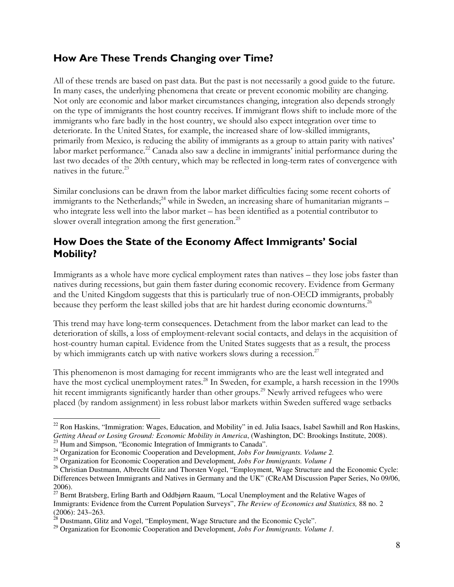## How Are These Trends Changing over Time?

All of these trends are based on past data. But the past is not necessarily a good guide to the future. In many cases, the underlying phenomena that create or prevent economic mobility are changing. Not only are economic and labor market circumstances changing, integration also depends strongly on the type of immigrants the host country receives. If immigrant flows shift to include more of the immigrants who fare badly in the host country, we should also expect integration over time to deteriorate. In the United States, for example, the increased share of low-skilled immigrants, primarily from Mexico, is reducing the ability of immigrants as a group to attain parity with natives' labor market performance.<sup>22</sup> Canada also saw a decline in immigrants' initial performance during the last two decades of the 20th century, which may be reflected in long-term rates of convergence with natives in the future.<sup>23</sup>

Similar conclusions can be drawn from the labor market difficulties facing some recent cohorts of immigrants to the Netherlands;<sup>24</sup> while in Sweden, an increasing share of humanitarian migrants – who integrate less well into the labor market – has been identified as a potential contributor to slower overall integration among the first generation.<sup>25</sup>

## How Does the State of the Economy Affect Immigrants' Social Mobility?

Immigrants as a whole have more cyclical employment rates than natives – they lose jobs faster than natives during recessions, but gain them faster during economic recovery. Evidence from Germany and the United Kingdom suggests that this is particularly true of non-OECD immigrants, probably because they perform the least skilled jobs that are hit hardest during economic downturns.<sup>26</sup>

This trend may have long-term consequences. Detachment from the labor market can lead to the deterioration of skills, a loss of employment-relevant social contacts, and delays in the acquisition of host-country human capital. Evidence from the United States suggests that as a result, the process by which immigrants catch up with native workers slows during a recession. $^{27}$ 

This phenomenon is most damaging for recent immigrants who are the least well integrated and have the most cyclical unemployment rates.<sup>28</sup> In Sweden, for example, a harsh recession in the 1990s hit recent immigrants significantly harder than other groups.<sup>29</sup> Newly arrived refugees who were placed (by random assignment) in less robust labor markets within Sweden suffered wage setbacks

 $22$  Ron Haskins, "Immigration: Wages, Education, and Mobility" in ed. Julia Isaacs, Isabel Sawhill and Ron Haskins, *Getting Ahead or Losing Ground: Economic Mobility in America*, (Washington, DC: Brookings Institute, 2008).

<sup>&</sup>lt;sup>23</sup> Hum and Simpson, "Economic Integration of Immigrants to Canada".

<sup>24</sup> Organization for Economic Cooperation and Development, *Jobs For Immigrants. Volume 2.* 

<sup>25</sup> Organization for Economic Cooperation and Development, *Jobs For Immigrants. Volume 1*

<sup>&</sup>lt;sup>26</sup> Christian Dustmann, Albrecht Glitz and Thorsten Vogel, "Employment, Wage Structure and the Economic Cycle: Differences between Immigrants and Natives in Germany and the UK" (CReAM Discussion Paper Series, No 09/06, 2006).

<sup>&</sup>lt;sup>27</sup> Bernt Bratsberg, Erling Barth and Oddbjørn Raaum, "Local Unemployment and the Relative Wages of Immigrants: Evidence from the Current Population Surveys", *The Review of Economics and Statistics,* 88 no. 2 (2006): 243–263.

 $^{28}$  Dustmann, Glitz and Vogel, "Employment, Wage Structure and the Economic Cycle".

<sup>29</sup> Organization for Economic Cooperation and Development, *Jobs For Immigrants. Volume 1.*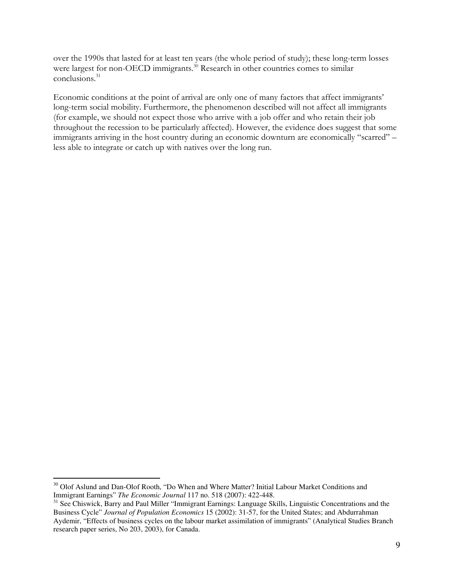over the 1990s that lasted for at least ten years (the whole period of study); these long-term losses were largest for non-OECD immigrants.<sup>30</sup> Research in other countries comes to similar conclusions.<sup>31</sup>

Economic conditions at the point of arrival are only one of many factors that affect immigrants' long-term social mobility. Furthermore, the phenomenon described will not affect all immigrants (for example, we should not expect those who arrive with a job offer and who retain their job throughout the recession to be particularly affected). However, the evidence does suggest that some immigrants arriving in the host country during an economic downturn are economically "scarred" – less able to integrate or catch up with natives over the long run.

<sup>&</sup>lt;sup>30</sup> Olof Aslund and Dan-Olof Rooth, "Do When and Where Matter? Initial Labour Market Conditions and Immigrant Earnings" *The Economic Journal* 117 no. 518 (2007): 422-448.

<sup>&</sup>lt;sup>31</sup> See Chiswick, Barry and Paul Miller "Immigrant Earnings: Language Skills, Linguistic Concentrations and the Business Cycle" *Journal of Population Economics* 15 (2002): 31-57, for the United States; and Abdurrahman Aydemir, "Effects of business cycles on the labour market assimilation of immigrants" (Analytical Studies Branch research paper series, No 203, 2003), for Canada.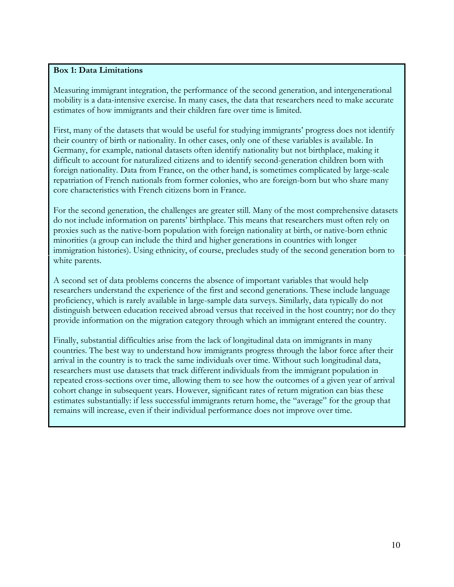#### Box 1: Data Limitations

Measuring immigrant integration, the performance of the second generation, and intergenerational mobility is a data-intensive exercise. In many cases, the data that researchers need to make accurate estimates of how immigrants and their children fare over time is limited.

First, many of the datasets that would be useful for studying immigrants' progress does not identify their country of birth or nationality. In other cases, only one of these variables is available. In Germany, for example, national datasets often identify nationality but not birthplace, making it difficult to account for naturalized citizens and to identify second-generation children born with foreign nationality. Data from France, on the other hand, is sometimes complicated by large-scale repatriation of French nationals from former colonies, who are foreign-born but who share many core characteristics with French citizens born in France.

For the second generation, the challenges are greater still. Many of the most comprehensive datasets do not include information on parents' birthplace. This means that researchers must often rely on proxies such as the native-born population with foreign nationality at birth, or native-born ethnic minorities (a group can include the third and higher generations in countries with longer immigration histories). Using ethnicity, of course, precludes study of the second generation born to white parents.

A second set of data problems concerns the absence of important variables that would help researchers understand the experience of the first and second generations. These include language proficiency, which is rarely available in large-sample data surveys. Similarly, data typically do not distinguish between education received abroad versus that received in the host country; nor do they provide information on the migration category through which an immigrant entered the country.

Finally, substantial difficulties arise from the lack of longitudinal data on immigrants in many countries. The best way to understand how immigrants progress through the labor force after their arrival in the country is to track the same individuals over time. Without such longitudinal data, researchers must use datasets that track different individuals from the immigrant population in repeated cross-sections over time, allowing them to see how the outcomes of a given year of arrival cohort change in subsequent years. However, significant rates of return migration can bias these estimates substantially: if less successful immigrants return home, the "average" for the group that remains will increase, even if their individual performance does not improve over time.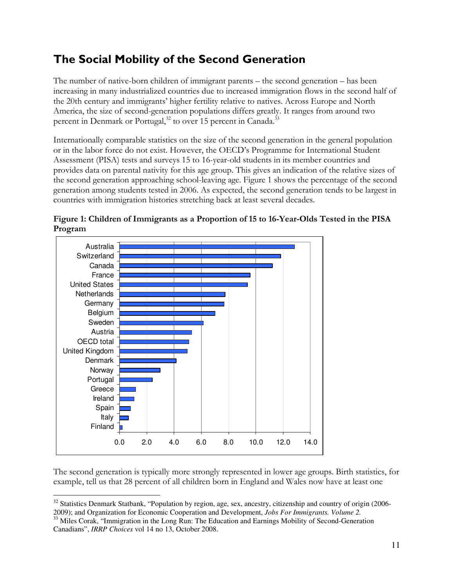# The Social Mobility of the Second Generation

The number of native-born children of immigrant parents – the second generation – has been increasing in many industrialized countries due to increased immigration flows in the second half of the 20th century and immigrants' higher fertility relative to natives. Across Europe and North America, the size of second-generation populations differs greatly. It ranges from around two percent in Denmark or Portugal,<sup>32</sup> to over 15 percent in Canada.<sup>33</sup>

Internationally comparable statistics on the size of the second generation in the general population or in the labor force do not exist. However, the OECD's Programme for International Student Assessment (PISA) tests and surveys 15 to 16-year-old students in its member countries and provides data on parental nativity for this age group. This gives an indication of the relative sizes of the second generation approaching school-leaving age. Figure 1 shows the percentage of the second generation among students tested in 2006. As expected, the second generation tends to be largest in countries with immigration histories stretching back at least several decades.



Figure 1: Children of Immigrants as a Proportion of 15 to 16-Year-Olds Tested in the PISA Program

The second generation is typically more strongly represented in lower age groups. Birth statistics, for example, tell us that 28 percent of all children born in England and Wales now have at least one

<sup>&</sup>lt;sup>32</sup> Statistics Denmark Statbank, "Population by region, age, sex, ancestry, citizenship and country of origin (2006-2009); and Organization for Economic Cooperation and Development, *Jobs For Immigrants. Volume 2.*

<sup>&</sup>lt;sup>33</sup> Miles Corak, "Immigration in the Long Run: The Education and Earnings Mobility of Second-Generation Canadians", *IRRP Choices* vol 14 no 13, October 2008.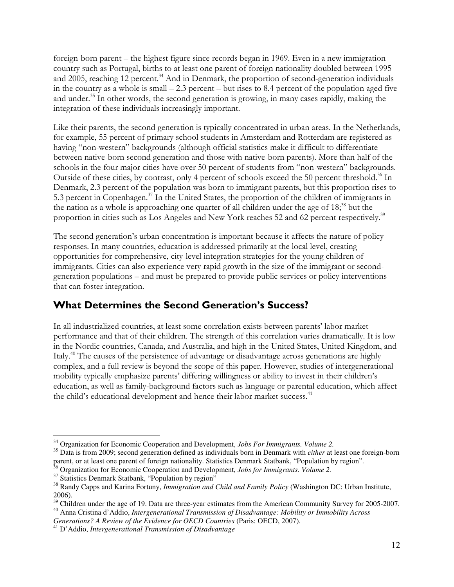foreign-born parent – the highest figure since records began in 1969. Even in a new immigration country such as Portugal, births to at least one parent of foreign nationality doubled between 1995 and 2005, reaching 12 percent.<sup>34</sup> And in Denmark, the proportion of second-generation individuals in the country as a whole is small – 2.3 percent – but rises to 8.4 percent of the population aged five and under.<sup>35</sup> In other words, the second generation is growing, in many cases rapidly, making the integration of these individuals increasingly important.

Like their parents, the second generation is typically concentrated in urban areas. In the Netherlands, for example, 55 percent of primary school students in Amsterdam and Rotterdam are registered as having "non-western" backgrounds (although official statistics make it difficult to differentiate between native-born second generation and those with native-born parents). More than half of the schools in the four major cities have over 50 percent of students from "non-western" backgrounds. Outside of these cities, by contrast, only 4 percent of schools exceed the 50 percent threshold.<sup>36</sup> In Denmark, 2.3 percent of the population was born to immigrant parents, but this proportion rises to 5.3 percent in Copenhagen.<sup>37</sup> In the United States, the proportion of the children of immigrants in the nation as a whole is approaching one quarter of all children under the age of 18<sup>38</sup> but the proportion in cities such as Los Angeles and New York reaches 52 and 62 percent respectively.<sup>39</sup>

The second generation's urban concentration is important because it affects the nature of policy responses. In many countries, education is addressed primarily at the local level, creating opportunities for comprehensive, city-level integration strategies for the young children of immigrants. Cities can also experience very rapid growth in the size of the immigrant or secondgeneration populations – and must be prepared to provide public services or policy interventions that can foster integration.

## What Determines the Second Generation's Success?

In all industrialized countries, at least some correlation exists between parents' labor market performance and that of their children. The strength of this correlation varies dramatically. It is low in the Nordic countries, Canada, and Australia, and high in the United States, United Kingdom, and Italy.<sup>40</sup> The causes of the persistence of advantage or disadvantage across generations are highly complex, and a full review is beyond the scope of this paper. However, studies of intergenerational mobility typically emphasize parents' differing willingness or ability to invest in their children's education, as well as family-background factors such as language or parental education, which affect the child's educational development and hence their labor market success.<sup>41</sup>

*Generations? A Review of the Evidence for OECD Countries* (Paris: OECD, 2007).

 $\overline{a}$ <sup>34</sup> Organization for Economic Cooperation and Development, *Jobs For Immigrants. Volume 2.*

<sup>35</sup> Data is from 2009; second generation defined as individuals born in Denmark with *either* at least one foreign-born parent, or at least one parent of foreign nationality. Statistics Denmark Statbank, "Population by region".

<sup>36</sup> Organization for Economic Cooperation and Development, *Jobs for Immigrants. Volume 2.* 

<sup>&</sup>lt;sup>37</sup> Statistics Denmark Statbank, "Population by region"

<sup>38</sup> Randy Capps and Karina Fortuny, *Immigration and Child and Family Policy* (Washington DC: Urban Institute, 2006).

<sup>&</sup>lt;sup>39</sup> Children under the age of 19. Data are three-year estimates from the American Community Survey for 2005-2007. <sup>40</sup> Anna Cristina d'Addio, *Intergenerational Transmission of Disadvantage: Mobility or Immobility Across* 

<sup>41</sup> D'Addio, *Intergenerational Transmission of Disadvantage*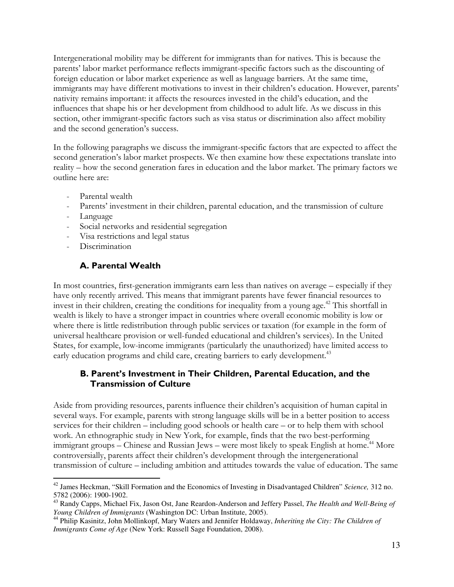Intergenerational mobility may be different for immigrants than for natives. This is because the parents' labor market performance reflects immigrant-specific factors such as the discounting of foreign education or labor market experience as well as language barriers. At the same time, immigrants may have different motivations to invest in their children's education. However, parents' nativity remains important: it affects the resources invested in the child's education, and the influences that shape his or her development from childhood to adult life. As we discuss in this section, other immigrant-specific factors such as visa status or discrimination also affect mobility and the second generation's success.

In the following paragraphs we discuss the immigrant-specific factors that are expected to affect the second generation's labor market prospects. We then examine how these expectations translate into reality – how the second generation fares in education and the labor market. The primary factors we outline here are:

- Parental wealth
- Parents' investment in their children, parental education, and the transmission of culture
- **Language**
- Social networks and residential segregation
- Visa restrictions and legal status
- Discrimination

#### A. Parental Wealth

In most countries, first-generation immigrants earn less than natives on average – especially if they have only recently arrived. This means that immigrant parents have fewer financial resources to invest in their children, creating the conditions for inequality from a young age.<sup>42</sup> This shortfall in wealth is likely to have a stronger impact in countries where overall economic mobility is low or where there is little redistribution through public services or taxation (for example in the form of universal healthcare provision or well-funded educational and children's services). In the United States, for example, low-income immigrants (particularly the unauthorized) have limited access to early education programs and child care, creating barriers to early development.<sup>43</sup>

#### B. Parent's Investment in Their Children, Parental Education, and the Transmission of Culture

Aside from providing resources, parents influence their children's acquisition of human capital in several ways. For example, parents with strong language skills will be in a better position to access services for their children – including good schools or health care – or to help them with school work. An ethnographic study in New York, for example, finds that the two best-performing immigrant groups – Chinese and Russian Jews – were most likely to speak English at home.<sup>44</sup> More controversially, parents affect their children's development through the intergenerational transmission of culture – including ambition and attitudes towards the value of education. The same

 $\overline{a}$ <sup>42</sup> James Heckman, "Skill Formation and the Economics of Investing in Disadvantaged Children" *Science,* 312 no. 5782 (2006): 1900-1902.

<sup>43</sup> Randy Capps, Michael Fix, Jason Ost, Jane Reardon-Anderson and Jeffery Passel, *The Health and Well-Being of Young Children of Immigrants* (Washington DC: Urban Institute, 2005).

<sup>44</sup> Philip Kasinitz, John Mollinkopf, Mary Waters and Jennifer Holdaway, *Inheriting the City: The Children of Immigrants Come of Age* (New York: Russell Sage Foundation, 2008).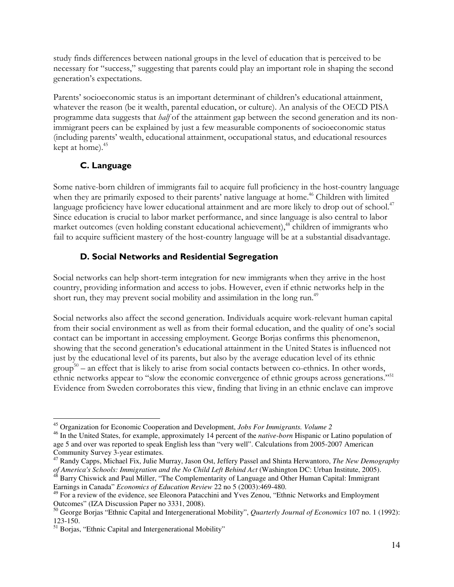study finds differences between national groups in the level of education that is perceived to be necessary for "success," suggesting that parents could play an important role in shaping the second generation's expectations.

Parents' socioeconomic status is an important determinant of children's educational attainment, whatever the reason (be it wealth, parental education, or culture). An analysis of the OECD PISA programme data suggests that half of the attainment gap between the second generation and its nonimmigrant peers can be explained by just a few measurable components of socioeconomic status (including parents' wealth, educational attainment, occupational status, and educational resources kept at home).<sup>45</sup>

### C. Language

Some native-born children of immigrants fail to acquire full proficiency in the host-country language when they are primarily exposed to their parents' native language at home.<sup>46</sup> Children with limited language proficiency have lower educational attainment and are more likely to drop out of school.<sup>47</sup> Since education is crucial to labor market performance, and since language is also central to labor market outcomes (even holding constant educational achievement),<sup>48</sup> children of immigrants who fail to acquire sufficient mastery of the host-country language will be at a substantial disadvantage.

### D. Social Networks and Residential Segregation

Social networks can help short-term integration for new immigrants when they arrive in the host country, providing information and access to jobs. However, even if ethnic networks help in the short run, they may prevent social mobility and assimilation in the long run.<sup>49</sup>

Social networks also affect the second generation. Individuals acquire work-relevant human capital from their social environment as well as from their formal education, and the quality of one's social contact can be important in accessing employment. George Borjas confirms this phenomenon, showing that the second generation's educational attainment in the United States is influenced not just by the educational level of its parents, but also by the average education level of its ethnic  $\text{group}^{50}$  – an effect that is likely to arise from social contacts between co-ethnics. In other words, ethnic networks appear to "slow the economic convergence of ethnic groups across generations."<sup>51</sup> Evidence from Sweden corroborates this view, finding that living in an ethnic enclave can improve

 $\overline{a}$ <sup>45</sup> Organization for Economic Cooperation and Development, *Jobs For Immigrants. Volume 2* 

<sup>46</sup> In the United States, for example, approximately 14 percent of the *native-born* Hispanic or Latino population of age 5 and over was reported to speak English less than "very well". Calculations from 2005-2007 American Community Survey 3-year estimates.

<sup>47</sup> Randy Capps, Michael Fix, Julie Murray, Jason Ost, Jeffery Passel and Shinta Herwantoro, *The New Demography of America's Schools: Immigration and the No Child Left Behind Act* (Washington DC: Urban Institute, 2005). <sup>48</sup> Barry Chiswick and Paul Miller, "The Complementarity of Language and Other Human Capital: Immigrant

Earnings in Canada" *Economics of Education Review* 22 no 5 (2003):469-480.

<sup>&</sup>lt;sup>49</sup> For a review of the evidence, see Eleonora Patacchini and Yves Zenou, "Ethnic Networks and Employment Outcomes" (IZA Discussion Paper no 3331, 2008).

<sup>50</sup> George Borjas "Ethnic Capital and Intergenerational Mobility", *Quarterly Journal of Economics* 107 no. 1 (1992): 123-150.

<sup>&</sup>lt;sup>51</sup> Borjas, "Ethnic Capital and Intergenerational Mobility"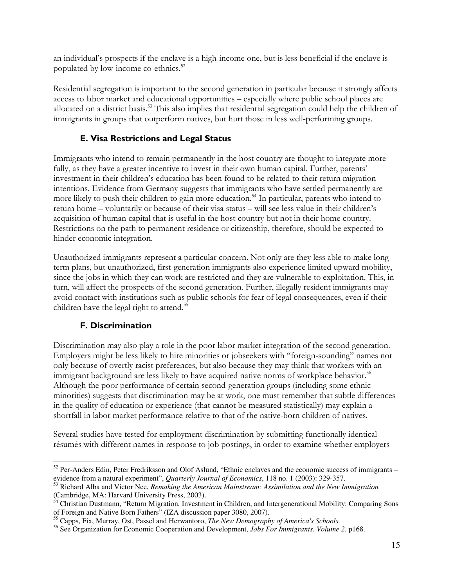an individual's prospects if the enclave is a high-income one, but is less beneficial if the enclave is populated by low-income co-ethnics.<sup>52</sup>

Residential segregation is important to the second generation in particular because it strongly affects access to labor market and educational opportunities – especially where public school places are allocated on a district basis.<sup>53</sup> This also implies that residential segregation could help the children of immigrants in groups that outperform natives, but hurt those in less well-performing groups.

#### E. Visa Restrictions and Legal Status

Immigrants who intend to remain permanently in the host country are thought to integrate more fully, as they have a greater incentive to invest in their own human capital. Further, parents' investment in their children's education has been found to be related to their return migration intentions. Evidence from Germany suggests that immigrants who have settled permanently are more likely to push their children to gain more education.<sup>54</sup> In particular, parents who intend to return home – voluntarily or because of their visa status – will see less value in their children's acquisition of human capital that is useful in the host country but not in their home country. Restrictions on the path to permanent residence or citizenship, therefore, should be expected to hinder economic integration.

Unauthorized immigrants represent a particular concern. Not only are they less able to make longterm plans, but unauthorized, first-generation immigrants also experience limited upward mobility, since the jobs in which they can work are restricted and they are vulnerable to exploitation. This, in turn, will affect the prospects of the second generation. Further, illegally resident immigrants may avoid contact with institutions such as public schools for fear of legal consequences, even if their children have the legal right to attend.<sup>55</sup>

#### F. Discrimination

Discrimination may also play a role in the poor labor market integration of the second generation. Employers might be less likely to hire minorities or jobseekers with "foreign-sounding" names not only because of overtly racist preferences, but also because they may think that workers with an immigrant background are less likely to have acquired native norms of workplace behavior.<sup>56</sup> Although the poor performance of certain second-generation groups (including some ethnic minorities) suggests that discrimination may be at work, one must remember that subtle differences in the quality of education or experience (that cannot be measured statistically) may explain a shortfall in labor market performance relative to that of the native-born children of natives.

Several studies have tested for employment discrimination by submitting functionally identical résumés with different names in response to job postings, in order to examine whether employers

 $\overline{a}$  $52$  Per-Anders Edin, Peter Fredriksson and Olof Aslund, "Ethnic enclaves and the economic success of immigrants – evidence from a natural experiment", *Quarterly Journal of Economics*, 118 no. 1 (2003): 329-357.

<sup>53</sup> Richard Alba and Victor Nee, *Remaking the American Mainstream: Assimilation and the New Immigration* (Cambridge, MA: Harvard University Press, 2003).

<sup>&</sup>lt;sup>54</sup> Christian Dustmann, "Return Migration, Investment in Children, and Intergenerational Mobility: Comparing Sons of Foreign and Native Born Fathers" (IZA discussion paper 3080, 2007).

<sup>55</sup> Capps, Fix, Murray, Ost, Passel and Herwantoro, *The New Demography of America's Schools.*

<sup>56</sup> See Organization for Economic Cooperation and Development, *Jobs For Immigrants. Volume 2.* p168.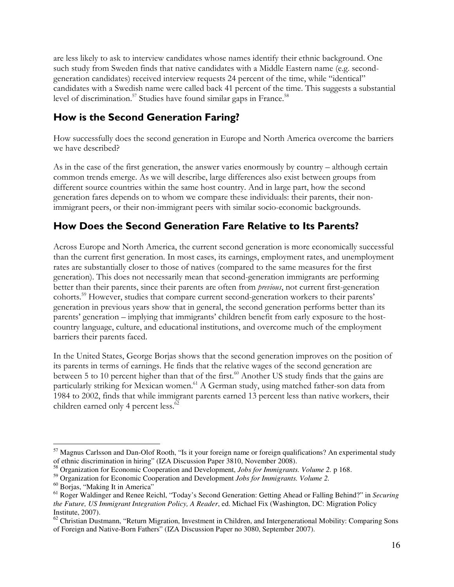are less likely to ask to interview candidates whose names identify their ethnic background. One such study from Sweden finds that native candidates with a Middle Eastern name (e.g. secondgeneration candidates) received interview requests 24 percent of the time, while "identical" candidates with a Swedish name were called back 41 percent of the time. This suggests a substantial level of discrimination.<sup>57</sup> Studies have found similar gaps in France.<sup>58</sup>

## How is the Second Generation Faring?

How successfully does the second generation in Europe and North America overcome the barriers we have described?

As in the case of the first generation, the answer varies enormously by country – although certain common trends emerge. As we will describe, large differences also exist between groups from different source countries within the same host country. And in large part, how the second generation fares depends on to whom we compare these individuals: their parents, their nonimmigrant peers, or their non-immigrant peers with similar socio-economic backgrounds.

## How Does the Second Generation Fare Relative to Its Parents?

Across Europe and North America, the current second generation is more economically successful than the current first generation. In most cases, its earnings, employment rates, and unemployment rates are substantially closer to those of natives (compared to the same measures for the first generation). This does not necessarily mean that second-generation immigrants are performing better than their parents, since their parents are often from *previous*, not current first-generation cohorts.<sup>59</sup> However, studies that compare current second-generation workers to their parents' generation in previous years show that in general, the second generation performs better than its parents' generation – implying that immigrants' children benefit from early exposure to the hostcountry language, culture, and educational institutions, and overcome much of the employment barriers their parents faced.

In the United States, George Borjas shows that the second generation improves on the position of its parents in terms of earnings. He finds that the relative wages of the second generation are between 5 to 10 percent higher than that of the first.<sup>60</sup> Another US study finds that the gains are particularly striking for Mexican women.<sup>61</sup> A German study, using matched father-son data from 1984 to 2002, finds that while immigrant parents earned 13 percent less than native workers, their children earned only 4 percent less.<sup>62</sup>

<sup>&</sup>lt;sup>57</sup> Magnus Carlsson and Dan-Olof Rooth, "Is it your foreign name or foreign qualifications? An experimental study of ethnic discrimination in hiring" (IZA Discussion Paper 3810, November 2008).

<sup>58</sup> Organization for Economic Cooperation and Development, *Jobs for Immigrants. Volume 2.* p 168.

<sup>59</sup> Organization for Economic Cooperation and Development *Jobs for Immigrants. Volume 2.* 

<sup>60</sup> Borjas, "Making It in America"

<sup>61</sup> Roger Waldinger and Renee Reichl, "Today's Second Generation: Getting Ahead or Falling Behind?" in *Securing the Future, US Immigrant Integration Policy, A Reader*, ed. Michael Fix (Washington, DC: Migration Policy Institute, 2007).

<sup>&</sup>lt;sup>62</sup> Christian Dustmann, "Return Migration, Investment in Children, and Intergenerational Mobility: Comparing Sons of Foreign and Native-Born Fathers" (IZA Discussion Paper no 3080, September 2007).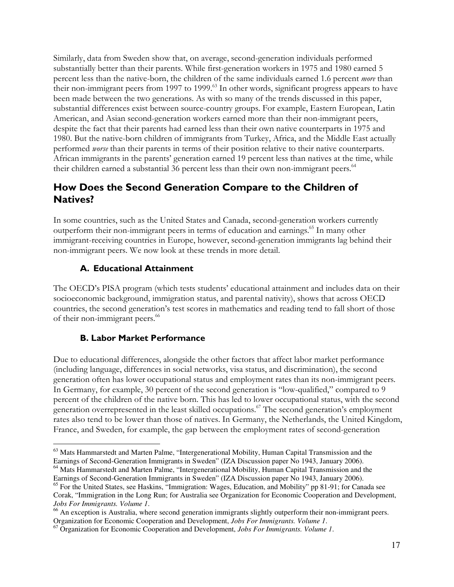Similarly, data from Sweden show that, on average, second-generation individuals performed substantially better than their parents. While first-generation workers in 1975 and 1980 earned 5 percent less than the native-born, the children of the same individuals earned 1.6 percent *more* than their non-immigrant peers from 1997 to 1999.<sup>63</sup> In other words, significant progress appears to have been made between the two generations. As with so many of the trends discussed in this paper, substantial differences exist between source-country groups. For example, Eastern European, Latin American, and Asian second-generation workers earned more than their non-immigrant peers, despite the fact that their parents had earned less than their own native counterparts in 1975 and 1980. But the native-born children of immigrants from Turkey, Africa, and the Middle East actually performed worse than their parents in terms of their position relative to their native counterparts. African immigrants in the parents' generation earned 19 percent less than natives at the time, while their children earned a substantial 36 percent less than their own non-immigrant peers.<sup>64</sup>

## How Does the Second Generation Compare to the Children of Natives?

In some countries, such as the United States and Canada, second-generation workers currently outperform their non-immigrant peers in terms of education and earnings.<sup>65</sup> In many other immigrant-receiving countries in Europe, however, second-generation immigrants lag behind their non-immigrant peers. We now look at these trends in more detail.

### A. Educational Attainment

The OECD's PISA program (which tests students' educational attainment and includes data on their socioeconomic background, immigration status, and parental nativity), shows that across OECD countries, the second generation's test scores in mathematics and reading tend to fall short of those of their non-immigrant peers.<sup>66</sup>

#### B. Labor Market Performance

Due to educational differences, alongside the other factors that affect labor market performance (including language, differences in social networks, visa status, and discrimination), the second generation often has lower occupational status and employment rates than its non-immigrant peers. In Germany, for example, 30 percent of the second generation is "low-qualified," compared to 9 percent of the children of the native born. This has led to lower occupational status, with the second generation overrepresented in the least skilled occupations.<sup>67</sup> The second generation's employment rates also tend to be lower than those of natives. In Germany, the Netherlands, the United Kingdom, France, and Sweden, for example, the gap between the employment rates of second-generation

Earnings of Second-Generation Immigrants in Sweden" (IZA Discussion paper No 1943, January 2006).

 $\overline{a}$ <sup>63</sup> Mats Hammarstedt and Marten Palme, "Intergenerational Mobility, Human Capital Transmission and the Earnings of Second-Generation Immigrants in Sweden" (IZA Discussion paper No 1943, January 2006). <sup>64</sup> Mats Hammarstedt and Marten Palme, "Intergenerational Mobility, Human Capital Transmission and the

<sup>&</sup>lt;sup>65</sup> For the United States, see Haskins, "Immigration: Wages, Education, and Mobility" pp 81-91; for Canada see Corak, "Immigration in the Long Run; for Australia see Organization for Economic Cooperation and Development, *Jobs For Immigrants. Volume 1*.

<sup>&</sup>lt;sup>66</sup> An exception is Australia, where second generation immigrants slightly outperform their non-immigrant peers. Organization for Economic Cooperation and Development, *Jobs For Immigrants. Volume 1*.

<sup>67</sup> Organization for Economic Cooperation and Development, *Jobs For Immigrants. Volume 1*.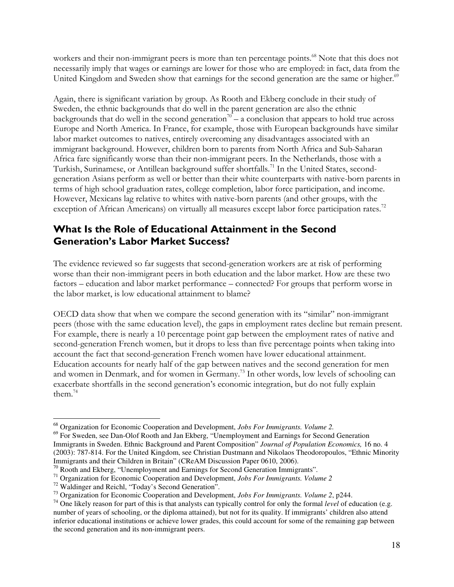workers and their non-immigrant peers is more than ten percentage points.<sup>68</sup> Note that this does not necessarily imply that wages or earnings are lower for those who are employed: in fact, data from the United Kingdom and Sweden show that earnings for the second generation are the same or higher.<sup>69</sup>

Again, there is significant variation by group. As Rooth and Ekberg conclude in their study of Sweden, the ethnic backgrounds that do well in the parent generation are also the ethnic backgrounds that do well in the second generation<sup>70</sup> – a conclusion that appears to hold true across Europe and North America. In France, for example, those with European backgrounds have similar labor market outcomes to natives, entirely overcoming any disadvantages associated with an immigrant background. However, children born to parents from North Africa and Sub-Saharan Africa fare significantly worse than their non-immigrant peers. In the Netherlands, those with a Turkish, Surinamese, or Antillean background suffer shortfalls.<sup>71</sup> In the United States, secondgeneration Asians perform as well or better than their white counterparts with native-born parents in terms of high school graduation rates, college completion, labor force participation, and income. However, Mexicans lag relative to whites with native-born parents (and other groups, with the exception of African Americans) on virtually all measures except labor force participation rates.<sup>72</sup>

## What Is the Role of Educational Attainment in the Second Generation's Labor Market Success?

The evidence reviewed so far suggests that second-generation workers are at risk of performing worse than their non-immigrant peers in both education and the labor market. How are these two factors – education and labor market performance – connected? For groups that perform worse in the labor market, is low educational attainment to blame?

OECD data show that when we compare the second generation with its "similar" non-immigrant peers (those with the same education level), the gaps in employment rates decline but remain present. For example, there is nearly a 10 percentage point gap between the employment rates of native and second-generation French women, but it drops to less than five percentage points when taking into account the fact that second-generation French women have lower educational attainment. Education accounts for nearly half of the gap between natives and the second generation for men and women in Denmark, and for women in Germany.<sup>73</sup> In other words, low levels of schooling can exacerbate shortfalls in the second generation's economic integration, but do not fully explain them. $74$ 

<sup>68</sup> Organization for Economic Cooperation and Development, *Jobs For Immigrants. Volume 2.*

<sup>&</sup>lt;sup>69</sup> For Sweden, see Dan-Olof Rooth and Jan Ekberg, "Unemployment and Earnings for Second Generation Immigrants in Sweden. Ethnic Background and Parent Composition" *Journal of Population Economics,* 16 no. 4 (2003): 787-814. For the United Kingdom, see Christian Dustmann and Nikolaos Theodoropoulos, "Ethnic Minority Immigrants and their Children in Britain" (CReAM Discussion Paper 0610, 2006).

<sup>&</sup>lt;sup>70</sup> Rooth and Ekberg, "Unemployment and Earnings for Second Generation Immigrants".

<sup>71</sup> Organization for Economic Cooperation and Development, *Jobs For Immigrants. Volume 2*

<sup>72</sup> Waldinger and Reichl, "Today's Second Generation".

<sup>73</sup> Organization for Economic Cooperation and Development, *Jobs For Immigrants. Volume 2*, p244.

<sup>74</sup> One likely reason for part of this is that analysts can typically control for only the formal *level* of education (e.g. number of years of schooling, or the diploma attained), but not for its quality. If immigrants' children also attend inferior educational institutions or achieve lower grades, this could account for some of the remaining gap between the second generation and its non-immigrant peers.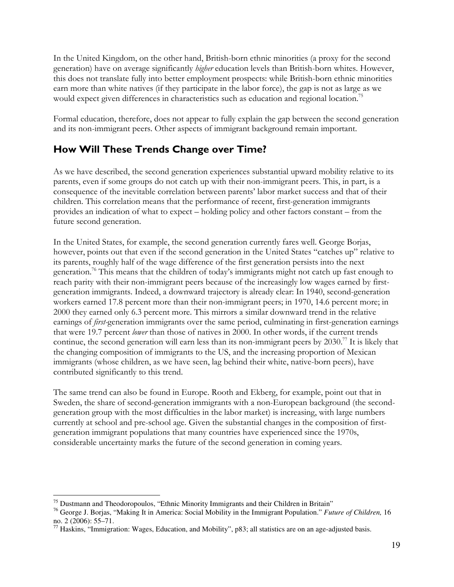In the United Kingdom, on the other hand, British-born ethnic minorities (a proxy for the second generation) have on average significantly higher education levels than British-born whites. However, this does not translate fully into better employment prospects: while British-born ethnic minorities earn more than white natives (if they participate in the labor force), the gap is not as large as we would expect given differences in characteristics such as education and regional location.<sup>75</sup>

Formal education, therefore, does not appear to fully explain the gap between the second generation and its non-immigrant peers. Other aspects of immigrant background remain important.

## How Will These Trends Change over Time?

As we have described, the second generation experiences substantial upward mobility relative to its parents, even if some groups do not catch up with their non-immigrant peers. This, in part, is a consequence of the inevitable correlation between parents' labor market success and that of their children. This correlation means that the performance of recent, first-generation immigrants provides an indication of what to expect – holding policy and other factors constant – from the future second generation.

In the United States, for example, the second generation currently fares well. George Borjas, however, points out that even if the second generation in the United States "catches up" relative to its parents, roughly half of the wage difference of the first generation persists into the next generation.<sup>76</sup> This means that the children of today's immigrants might not catch up fast enough to reach parity with their non-immigrant peers because of the increasingly low wages earned by firstgeneration immigrants. Indeed, a downward trajectory is already clear: In 1940, second-generation workers earned 17.8 percent more than their non-immigrant peers; in 1970, 14.6 percent more; in 2000 they earned only 6.3 percent more. This mirrors a similar downward trend in the relative earnings of first-generation immigrants over the same period, culminating in first-generation earnings that were 19.7 percent lower than those of natives in 2000. In other words, if the current trends continue, the second generation will earn less than its non-immigrant peers by  $2030$ .<sup>77</sup> It is likely that the changing composition of immigrants to the US, and the increasing proportion of Mexican immigrants (whose children, as we have seen, lag behind their white, native-born peers), have contributed significantly to this trend.

The same trend can also be found in Europe. Rooth and Ekberg, for example, point out that in Sweden, the share of second-generation immigrants with a non-European background (the secondgeneration group with the most difficulties in the labor market) is increasing, with large numbers currently at school and pre-school age. Given the substantial changes in the composition of firstgeneration immigrant populations that many countries have experienced since the 1970s, considerable uncertainty marks the future of the second generation in coming years.

<sup>&</sup>lt;sup>75</sup> Dustmann and Theodoropoulos, "Ethnic Minority Immigrants and their Children in Britain"

<sup>76</sup> George J. Borjas, "Making It in America: Social Mobility in the Immigrant Population." *Future of Children,* 16 no. 2 (2006): 55–71.

 $77$  Haskins, "Immigration: Wages, Education, and Mobility", p83; all statistics are on an age-adjusted basis.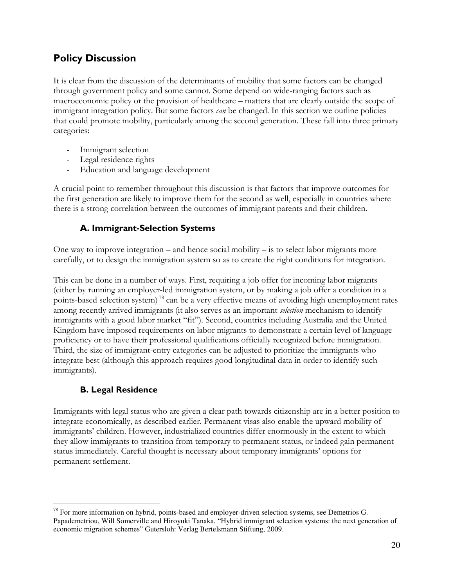## Policy Discussion

It is clear from the discussion of the determinants of mobility that some factors can be changed through government policy and some cannot. Some depend on wide-ranging factors such as macroeconomic policy or the provision of healthcare – matters that are clearly outside the scope of immigrant integration policy. But some factors *can* be changed. In this section we outline policies that could promote mobility, particularly among the second generation. These fall into three primary categories:

- Immigrant selection
- Legal residence rights
- Education and language development

A crucial point to remember throughout this discussion is that factors that improve outcomes for the first generation are likely to improve them for the second as well, especially in countries where there is a strong correlation between the outcomes of immigrant parents and their children.

### A. Immigrant-Selection Systems

One way to improve integration – and hence social mobility – is to select labor migrants more carefully, or to design the immigration system so as to create the right conditions for integration.

This can be done in a number of ways. First, requiring a job offer for incoming labor migrants (either by running an employer-led immigration system, or by making a job offer a condition in a points-based selection system)<sup>78</sup> can be a very effective means of avoiding high unemployment rates among recently arrived immigrants (it also serves as an important *selection* mechanism to identify immigrants with a good labor market "fit"). Second, countries including Australia and the United Kingdom have imposed requirements on labor migrants to demonstrate a certain level of language proficiency or to have their professional qualifications officially recognized before immigration. Third, the size of immigrant-entry categories can be adjusted to prioritize the immigrants who integrate best (although this approach requires good longitudinal data in order to identify such immigrants).

#### B. Legal Residence

 $\overline{a}$ 

Immigrants with legal status who are given a clear path towards citizenship are in a better position to integrate economically, as described earlier. Permanent visas also enable the upward mobility of immigrants' children. However, industrialized countries differ enormously in the extent to which they allow immigrants to transition from temporary to permanent status, or indeed gain permanent status immediately. Careful thought is necessary about temporary immigrants' options for permanent settlement.

 $^{78}$  For more information on hybrid, points-based and employer-driven selection systems, see Demetrios G. Papademetriou, Will Somerville and Hiroyuki Tanaka, "Hybrid immigrant selection systems: the next generation of economic migration schemes" Gutersloh: Verlag Bertelsmann Stiftung, 2009.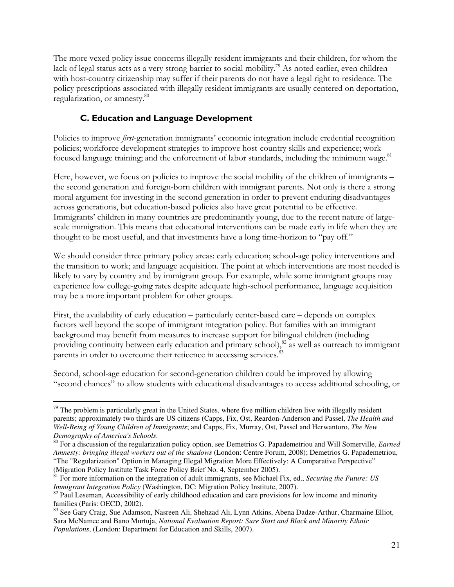The more vexed policy issue concerns illegally resident immigrants and their children, for whom the lack of legal status acts as a very strong barrier to social mobility.<sup>79</sup> As noted earlier, even children with host-country citizenship may suffer if their parents do not have a legal right to residence. The policy prescriptions associated with illegally resident immigrants are usually centered on deportation, regularization, or amnesty.<sup>80</sup>

### C. Education and Language Development

Policies to improve first-generation immigrants' economic integration include credential recognition policies; workforce development strategies to improve host-country skills and experience; workfocused language training; and the enforcement of labor standards, including the minimum wage.<sup>81</sup>

Here, however, we focus on policies to improve the social mobility of the children of immigrants – the second generation and foreign-born children with immigrant parents. Not only is there a strong moral argument for investing in the second generation in order to prevent enduring disadvantages across generations, but education-based policies also have great potential to be effective. Immigrants' children in many countries are predominantly young, due to the recent nature of largescale immigration. This means that educational interventions can be made early in life when they are thought to be most useful, and that investments have a long time-horizon to "pay off."

We should consider three primary policy areas: early education; school-age policy interventions and the transition to work; and language acquisition. The point at which interventions are most needed is likely to vary by country and by immigrant group. For example, while some immigrant groups may experience low college-going rates despite adequate high-school performance, language acquisition may be a more important problem for other groups.

First, the availability of early education – particularly center-based care – depends on complex factors well beyond the scope of immigrant integration policy. But families with an immigrant background may benefit from measures to increase support for bilingual children (including providing continuity between early education and primary school),<sup>82</sup> as well as outreach to immigrant parents in order to overcome their reticence in accessing services.<sup>83</sup>

Second, school-age education for second-generation children could be improved by allowing "second chances" to allow students with educational disadvantages to access additional schooling, or

 $\overline{a}$  $79$  The problem is particularly great in the United States, where five million children live with illegally resident parents; approximately two thirds are US citizens (Capps, Fix, Ost, Reardon-Anderson and Passel, *The Health and Well-Being of Young Children of Immigrants*; and Capps, Fix, Murray, Ost, Passel and Herwantoro, *The New Demography of America's Schools*.

<sup>80</sup> For a discussion of the regularization policy option, see Demetrios G. Papademetriou and Will Somerville, *Earned Amnesty: bringing illegal workers out of the shadows* (London: Centre Forum, 2008); Demetrios G. Papademetriou, "The "Regularization" Option in Managing Illegal Migration More Effectively: A Comparative Perspective" (Migration Policy Institute Task Force Policy Brief No. 4, September 2005).

<sup>81</sup> For more information on the integration of adult immigrants, see Michael Fix, ed., *Securing the Future: US Immigrant Integration Policy* (Washington, DC: Migration Policy Institute, 2007).

<sup>&</sup>lt;sup>82</sup> Paul Leseman, Accessibility of early childhood education and care provisions for low income and minority families (Paris: OECD, 2002).

<sup>83</sup> See Gary Craig, Sue Adamson, Nasreen Ali, Shehzad Ali, Lynn Atkins, Abena Dadze-Arthur, Charmaine Elliot, Sara McNamee and Bano Murtuja, *National Evaluation Report: Sure Start and Black and Minority Ethnic Populations*, (London: Department for Education and Skills, 2007).